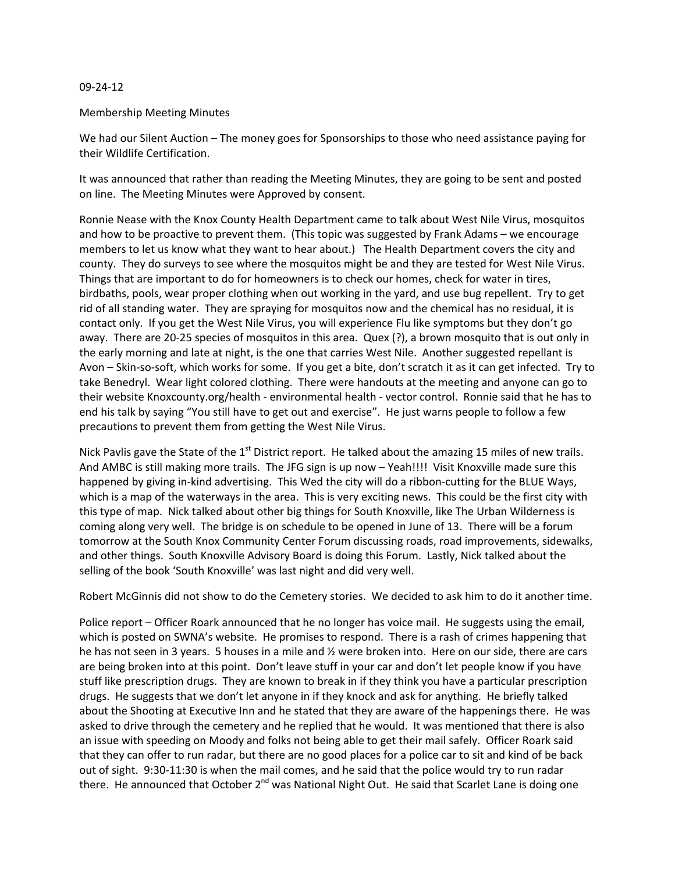## 09-24-12

## Membership Meeting Minutes

We had our Silent Auction – The money goes for Sponsorships to those who need assistance paying for their Wildlife Certification.

It was announced that rather than reading the Meeting Minutes, they are going to be sent and posted on line. The Meeting Minutes were Approved by consent.

Ronnie Nease with the Knox County Health Department came to talk about West Nile Virus, mosquitos and how to be proactive to prevent them. (This topic was suggested by Frank Adams – we encourage members to let us know what they want to hear about.) The Health Department covers the city and county. They do surveys to see where the mosquitos might be and they are tested for West Nile Virus. Things that are important to do for homeowners is to check our homes, check for water in tires, birdbaths, pools, wear proper clothing when out working in the yard, and use bug repellent. Try to get rid of all standing water. They are spraying for mosquitos now and the chemical has no residual, it is contact only. If you get the West Nile Virus, you will experience Flu like symptoms but they don't go away. There are 20-25 species of mosquitos in this area. Quex (?), a brown mosquito that is out only in the early morning and late at night, is the one that carries West Nile. Another suggested repellant is Avon – Skin-so-soft, which works for some. If you get a bite, don't scratch it as it can get infected. Try to take Benedryl.' Wear light colored clothing. There were handouts at the meeting and anyone can go to their website Knoxcounty.org/health - environmental health - vector control. Ronnie said that he has to end his talk by saying "You still have to get out and exercise". He just warns people to follow a few precautions to prevent them from getting the West Nile Virus.

Nick Pavlis gave the State of the 1<sup>st</sup> District report. He talked about the amazing 15 miles of new trails. And AMBC is still making more trails. The JFG sign is up now – Yeah!!!! Visit Knoxville made sure this happened by giving in-kind advertising. This Wed the city will do a ribbon-cutting for the BLUE Ways, which is a map of the waterways in the area. This is very exciting news. This could be the first city with this type of map. Nick talked about other big things for South Knoxville, like The Urban Wilderness is coming along very well. The bridge is on schedule to be opened in June of 13. There will be a forum tomorrow at the South Knox Community Center Forum discussing roads, road improvements, sidewalks, and other things. South Knoxville Advisory Board is doing this Forum. Lastly, Nick talked about the selling of the book 'South Knoxville' was last night and did very well.

Robert McGinnis did not show to do the Cemetery stories. We decided to ask him to do it another time.

Police report – Officer Roark announced that he no longer has voice mail. He suggests using the email, which is posted on SWNA's website.' He promises to respond. There is a rash of crimes happening that he has not seen in 3 years. 5 houses in a mile and ½ were broken into. Here on our side, there are cars are being broken into at this point. Don't leave stuff in your car and don't let people know if you have stuff like prescription drugs. They are known to break in if they think you have a particular prescription drugs.' He suggests that we don't let anyone in if they knock and ask for anything. He briefly talked about the Shooting at Executive Inn and he stated that they are aware of the happenings there. He was asked to drive through the cemetery and he replied that he would. It was mentioned that there is also an issue with speeding on Moody and folks not being able to get their mail safely. Officer Roark said that they can offer to run radar, but there are no good places for a police car to sit and kind of be back out of sight. 9:30-11:30 is when the mail comes, and he said that the police would try to run radar there. He announced that October 2<sup>nd</sup> was National Night Out. He said that Scarlet Lane is doing one